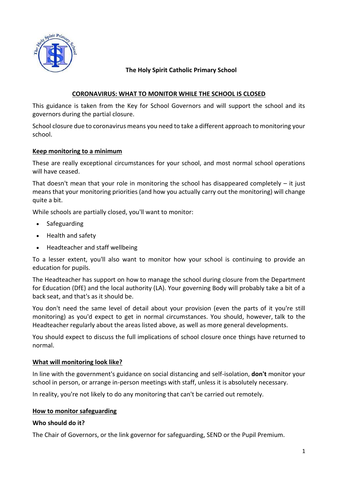

# **The Holy Spirit Catholic Primary School**

# **CORONAVIRUS: WHAT TO MONITOR WHILE THE SCHOOL IS CLOSED**

This guidance is taken from the Key for School Governors and will support the school and its governors during the partial closure.

School closure due to coronavirus means you need to take a different approach to monitoring your school.

## **Keep monitoring to a minimum**

These are really exceptional circumstances for your school, and most normal school operations will have ceased.

That doesn't mean that your role in monitoring the school has disappeared completely  $-$  it just means that your monitoring priorities (and how you actually carry out the monitoring) will change quite a bit.

While schools are partially closed, you'll want to monitor:

- Safeguarding
- Health and safety
- Headteacher and staff wellbeing

To a lesser extent, you'll also want to monitor how your school is continuing to provide an education for pupils.

The Headteacher has support on how to manage the school during closure from the Department for Education (DfE) and the local authority (LA). Your governing Body will probably take a bit of a back seat, and that's as it should be.

You don't need the same level of detail about your provision (even the parts of it you're still monitoring) as you'd expect to get in normal circumstances. You should, however, talk to the Headteacher regularly about the areas listed above, as well as more general developments.

You should expect to discuss the full implications of school closure once things have returned to normal.

## **What will monitoring look like?**

In line with the government's guidance on social distancing and self-isolation, **don't** monitor your school in person, or arrange in-person meetings with staff, unless it is absolutely necessary.

In reality, you're not likely to do any monitoring that can't be carried out remotely.

## **How to monitor safeguarding**

## **Who should do it?**

The Chair of Governors, or the link governor for [safeguarding,](https://schoolgovernors.thekeysupport.com/the-governing-body/roles-on-the-governing-body/link-governors/role-and-responsibilities-of-safeguarding-governors/?marker=content-body) [SEND](https://schoolgovernors.thekeysupport.com/curriculum-and-pupils/pastoral-care/send-provision/send-provision/?marker=content-body) or the [Pupil Premium.](https://schoolgovernors.thekeysupport.com/the-governing-body/roles-on-the-governing-body/link-governors/link-governors-with-responsibility-for-the-pupil-premium/?marker=content-body)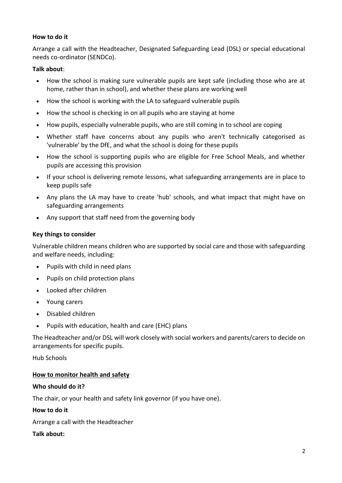### **How to do it**

Arrange a call with the Headteacher, Designated Safeguarding Lead (DSL) or special educational needs co-ordinator (SENDCo).

### **Talk about**:

- How the school is making sure vulnerable pupils are kept safe (including those who are at home, rather than in school), and whether these plans are working well
- How the school is working with the LA to safeguard vulnerable pupils
- How the school is checking in on all pupils who are staying at home
- How pupils, especially vulnerable pupils, who are still coming in to school are coping
- Whether staff have concerns about any pupils who aren't technically categorised as 'vulnerable' by the DfE, and what the school is doing for these pupils
- How the school is supporting pupils who are eligible for Free School Meals, and whether pupils are accessing this provision
- If your school is delivering remote lessons, what safeguarding arrangements are in place to keep pupils safe
- Any plans the LA may have to create 'hub' schools, and what impact that might have on safeguarding arrangements
- Any support that staff need from the governing body

### **Key things to consider**

[Vulnerable children](https://www.gov.uk/government/publications/coronavirus-covid-19-maintaining-educational-provision/guidance-for-schools-colleges-and-local-authorities-on-maintaining-educational-provision) means children who are supported by social care and those with safeguarding and welfare needs, including:

- Pupils with child in need plans
- Pupils on child protection plans
- Looked after children
- Young carers
- Disabled children
- Pupils with education, health and care (EHC) plans

The Headteacher and/or DSL will work closely with social workers and parents/carers to decide on arrangements for specific pupils.

Hub Schools

#### **How to monitor health and safety**

#### **Who should do it?**

The chair, or your [health and safety link governor](https://schoolgovernors.thekeysupport.com/the-governing-body/roles-on-the-governing-body/link-governors/link-governor-for-health-and-safety/?marker=content-body) (if you have one).

#### **How to do it**

Arrange a call with the Headteacher

#### **Talk about:**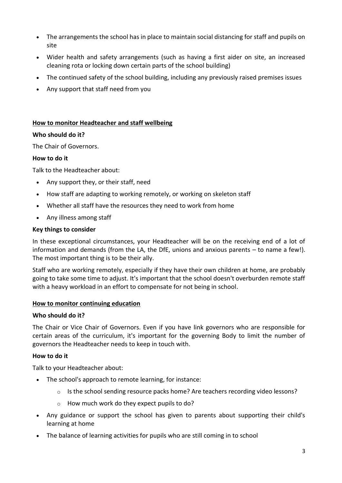- The arrangements the school has in place to maintain social distancing for staff and pupils on site
- Wider health and safety arrangements (such as having a first aider on site, an increased cleaning rota or locking down certain parts of the school building)
- The continued safety of the school building, including any previously raised premises issues
- Any support that staff need from you

## **How to monitor Headteacher and staff wellbeing**

### **Who should do it?**

The Chair of Governors.

### **How to do it**

Talk to the Headteacher about:

- Any support they, or their staff, need
- How staff are adapting to working remotely, or working on skeleton staff
- Whether all staff have the resources they need to work from home
- Any illness among staff

#### **Key things to consider**

In these exceptional circumstances, your Headteacher will be on the receiving end of a lot of information and demands (from the LA, the DfE, unions and anxious parents – to name a few!). The most important thing is to be their ally.

Staff who are working remotely, especially if they have their own children at home, are probably going to take some time to adjust. It's important that the school doesn't overburden remote staff with a heavy workload in an effort to compensate for not being in school.

#### **How to monitor continuing education**

#### **Who should do it?**

The Chair or Vice Chair of Governors. Even if you have link governors who are responsible for certain areas of the curriculum, it's important for the governing Body to limit the number of governors the Headteacher needs to keep in touch with.

#### **How to do it**

Talk to your Headteacher about:

- The school's approach to remote learning, for instance:
	- $\circ$  Is the school sending resource packs home? Are teachers recording video lessons?
	- o How much work do they expect pupils to do?
- Any guidance or support the school has given to parents about supporting their child's learning at home
- The balance of learning activities for pupils who are still coming in to school